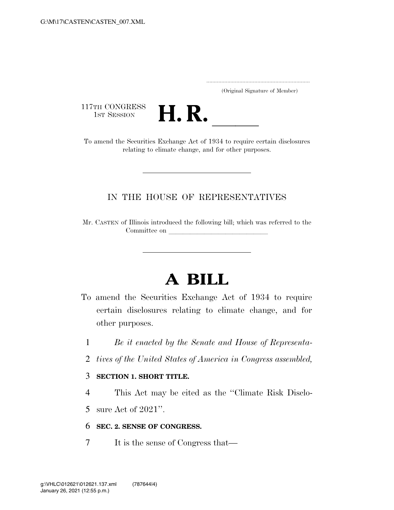..................................................................... (Original Signature of Member)

117TH CONGRESS<br>1st Session



17TH CONGRESS<br>1st SESSION<br>To amend the Securities Exchange Act of 1934 to require certain disclosures relating to climate change, and for other purposes.

## IN THE HOUSE OF REPRESENTATIVES

Mr. CASTEN of Illinois introduced the following bill; which was referred to the Committee on

# **A BILL**

- To amend the Securities Exchange Act of 1934 to require certain disclosures relating to climate change, and for other purposes.
	- 1 *Be it enacted by the Senate and House of Representa-*
	- 2 *tives of the United States of America in Congress assembled,*

### 3 **SECTION 1. SHORT TITLE.**

- 4 This Act may be cited as the ''Climate Risk Disclo-
- 5 sure Act of 2021''.

#### 6 **SEC. 2. SENSE OF CONGRESS.**

7 It is the sense of Congress that—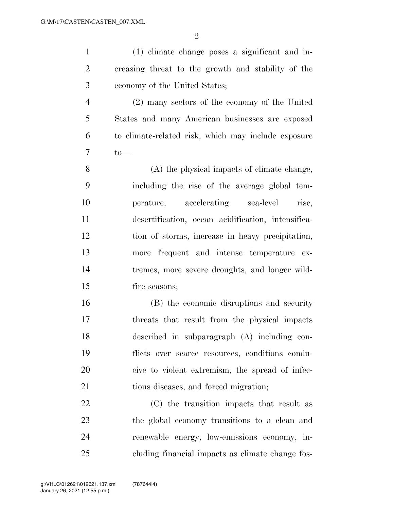$\mathfrak{D}$ 

 (1) climate change poses a significant and in- creasing threat to the growth and stability of the economy of the United States;

 (2) many sectors of the economy of the United States and many American businesses are exposed to climate-related risk, which may include exposure to—

 (A) the physical impacts of climate change, including the rise of the average global tem- perature, accelerating sea-level rise, desertification, ocean acidification, intensifica- tion of storms, increase in heavy precipitation, more frequent and intense temperature ex- tremes, more severe droughts, and longer wild-fire seasons;

 (B) the economic disruptions and security threats that result from the physical impacts described in subparagraph (A) including con- flicts over scarce resources, conditions condu- cive to violent extremism, the spread of infec-tious diseases, and forced migration;

 (C) the transition impacts that result as the global economy transitions to a clean and renewable energy, low-emissions economy, in-cluding financial impacts as climate change fos-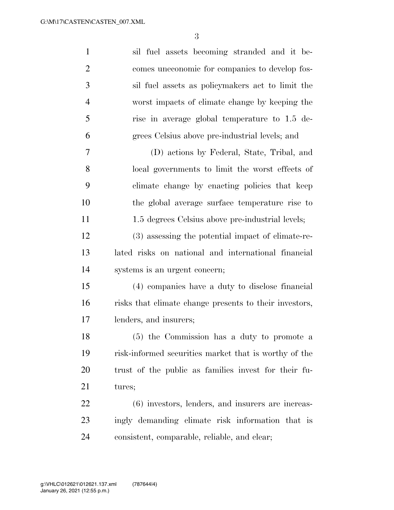| $\mathbf{1}$   | sil fuel assets becoming stranded and it be-           |
|----------------|--------------------------------------------------------|
| $\overline{2}$ | comes uneconomic for companies to develop fos-         |
| 3              | sil fuel assets as policymakers act to limit the       |
| $\overline{4}$ | worst impacts of climate change by keeping the         |
| 5              | rise in average global temperature to 1.5 de-          |
| 6              | grees Celsius above pre-industrial levels; and         |
| 7              | (D) actions by Federal, State, Tribal, and             |
| 8              | local governments to limit the worst effects of        |
| 9              | climate change by enacting policies that keep          |
| 10             | the global average surface temperature rise to         |
| 11             | 1.5 degrees Celsius above pre-industrial levels;       |
| 12             | (3) assessing the potential impact of climate-re-      |
| 13             | lated risks on national and international financial    |
| 14             | systems is an urgent concern;                          |
| 15             | (4) companies have a duty to disclose financial        |
| 16             | risks that climate change presents to their investors, |
| 17             | lenders, and insurers;                                 |
| 18             | (5) the Commission has a duty to promote a             |
| 19             | risk-informed securities market that is worthy of the  |
| 20             | trust of the public as families invest for their fu-   |
| 21             | tures;                                                 |
| 22             | (6) investors, lenders, and insurers are increas-      |
| 23             | ingly demanding climate risk information that is       |
| 24             | consistent, comparable, reliable, and clear;           |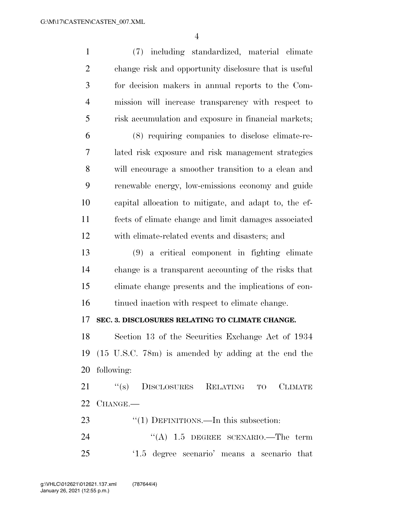| $\mathbf{1}$   | (7) including standardized, material climate              |
|----------------|-----------------------------------------------------------|
| $\overline{2}$ | change risk and opportunity disclosure that is useful     |
| 3              | for decision makers in annual reports to the Com-         |
| $\overline{4}$ | mission will increase transparency with respect to        |
| 5              | risk accumulation and exposure in financial markets;      |
| 6              | (8) requiring companies to disclose climate-re-           |
| 7              | lated risk exposure and risk management strategies        |
| 8              | will encourage a smoother transition to a clean and       |
| 9              | renewable energy, low-emissions economy and guide         |
| 10             | capital allocation to mitigate, and adapt to, the ef-     |
| 11             | fects of climate change and limit damages associated      |
| 12             | with climate-related events and disasters; and            |
| 13             | (9) a critical component in fighting climate              |
| 14             | change is a transparent accounting of the risks that      |
| 15             | climate change presents and the implications of con-      |
| 16             | tinued inaction with respect to climate change.           |
| 17             | SEC. 3. DISCLOSURES RELATING TO CLIMATE CHANGE.           |
| 18             | Section 13 of the Securities Exchange Act of 1934         |
| 19             | $(15 \t{U.S.C.} 78m)$ is amended by adding at the end the |
| 20             | following:                                                |
| 21             | "(s) DISCLOSURES RELATING TO CLIMATE                      |
|                | 22 CHANGE.                                                |
| 23             | " $(1)$ DEFINITIONS.—In this subsection:                  |
| 24             | "(A) $1.5$ DEGREE SCENARIO.—The term                      |
| 25             | '1.5 degree scenario' means a scenario that               |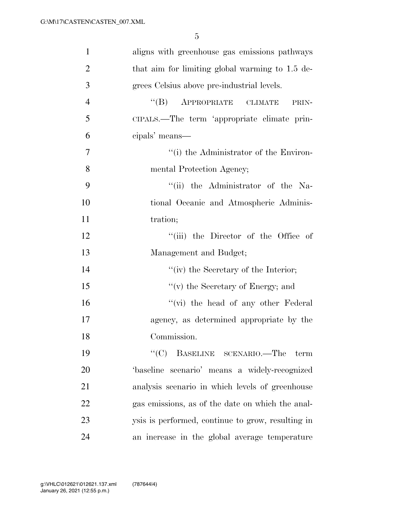| $\mathbf{1}$   | aligns with greenhouse gas emissions pathways     |
|----------------|---------------------------------------------------|
| $\overline{2}$ | that aim for limiting global warming to 1.5 de-   |
| 3              | grees Celsius above pre-industrial levels.        |
| $\overline{4}$ | $\lq\lq (B)$<br>APPROPRIATE CLIMATE<br>PRIN-      |
| 5              | CIPALS.—The term 'appropriate climate prin-       |
| 6              | cipals' means—                                    |
| 7              | "(i) the Administrator of the Environ-            |
| 8              | mental Protection Agency;                         |
| 9              | "(ii) the Administrator of the Na-                |
| 10             | tional Oceanic and Atmospheric Adminis-           |
| 11             | tration;                                          |
| 12             | "(iii) the Director of the Office of              |
| 13             | Management and Budget;                            |
| 14             | "(iv) the Secretary of the Interior;              |
| 15             | $f'(v)$ the Secretary of Energy; and              |
| 16             | "(vi) the head of any other Federal               |
| 17             | agency, as determined appropriate by the          |
| 18             | Commission.                                       |
| 19             | " $(C)$ BASELINE SCENARIO.—The term               |
| 20             | 'baseline scenario' means a widely-recognized     |
| 21             | analysis scenario in which levels of greenhouse   |
| 22             | gas emissions, as of the date on which the anal-  |
| 23             | ysis is performed, continue to grow, resulting in |
| 24             | an increase in the global average temperature     |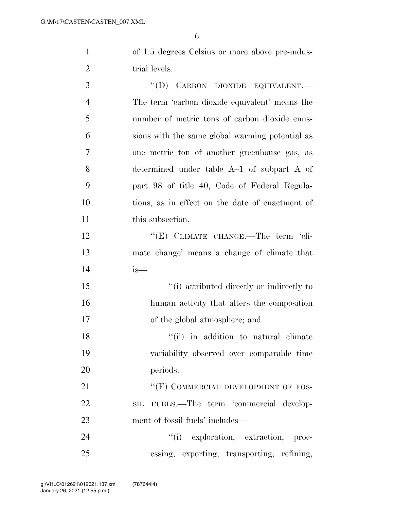of 1.5 degrees Celsius or more above pre-indus-2 trial levels.

 $``(D)$  CARBON DIOXIDE EQUIVALENT. The term 'carbon dioxide equivalent' means the number of metric tons of carbon dioxide emis- sions with the same global warming potential as one metric ton of another greenhouse gas, as determined under table A–1 of subpart A of part 98 of title 40, Code of Federal Regula- tions, as in effect on the date of enactment of 11 this subsection. 12 "(E) CLIMATE CHANGE.—The term 'cli- mate change' means a change of climate that is—  $\frac{1}{10}$  attributed directly or indirectly to human activity that alters the composition of the global atmosphere; and 18 ''(ii) in addition to natural climate variability observed over comparable time periods. 21 "'(F) COMMERCIAL DEVELOPMENT OF FOS-SIL FUELS.—The term 'commercial develop-

24  $\frac{1}{1}$  exploration, extraction, proc-essing, exporting, transporting, refining,

ment of fossil fuels' includes—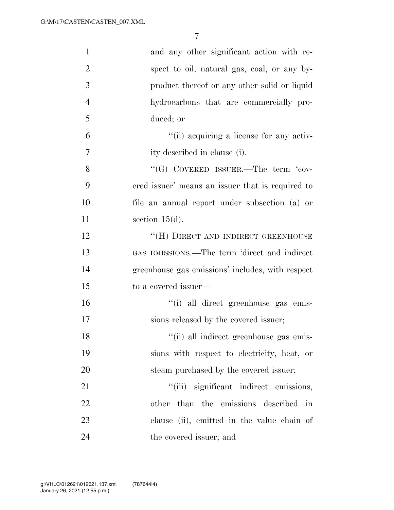| $\mathbf{1}$   | and any other significant action with re-        |
|----------------|--------------------------------------------------|
| $\overline{2}$ | spect to oil, natural gas, coal, or any by-      |
| 3              | product thereof or any other solid or liquid     |
| $\overline{4}$ | hydrocarbons that are commercially pro-          |
| 5              | duced; or                                        |
| 6              | "(ii) acquiring a license for any activ-         |
| $\overline{7}$ | ity described in clause (i).                     |
| 8              | " $(G)$ COVERED ISSUER.—The term 'cov-           |
| 9              | ered issuer' means an issuer that is required to |
| 10             | file an annual report under subsection (a) or    |
| 11             | section $15(d)$ .                                |
| 12             | "(H) DIRECT AND INDIRECT GREENHOUSE              |
| 13             | GAS EMISSIONS.—The term 'direct and indirect     |
| 14             | greenhouse gas emissions' includes, with respect |
| 15             | to a covered issuer—                             |
| 16             | "(i) all direct greenhouse gas emis-             |
| 17             | sions released by the covered issuer;            |
| 18             | "(ii) all indirect greenhouse gas emis-          |
| 19             | sions with respect to electricity, heat, or      |
| 20             | steam purchased by the covered issuer;           |
| 21             | "(iii) significant indirect emissions,           |
| 22             | other than the emissions described<br>in         |
| 23             | clause (ii), emitted in the value chain of       |
| 24             | the covered issuer; and                          |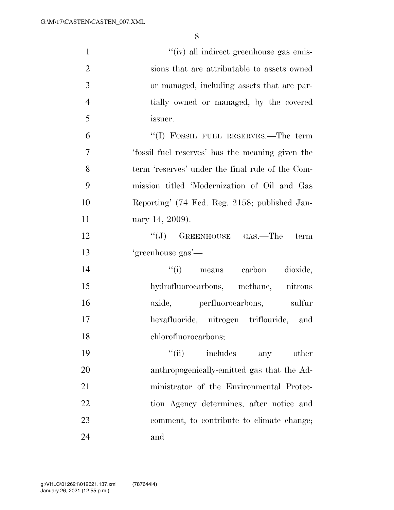| $\mathbf{1}$   | "(iv) all indirect greenhouse gas emis-          |
|----------------|--------------------------------------------------|
| $\overline{2}$ | sions that are attributable to assets owned      |
| 3              | or managed, including assets that are par-       |
| $\overline{4}$ | tially owned or managed, by the covered          |
| 5              | issuer.                                          |
| 6              | "(I) FOSSIL FUEL RESERVES.—The term              |
| $\overline{7}$ | 'fossil fuel reserves' has the meaning given the |
| 8              | term 'reserves' under the final rule of the Com- |
| 9              | mission titled 'Modernization of Oil and Gas     |
| 10             | Reporting' (74 Fed. Reg. 2158; published Jan-    |
| 11             | uary 14, 2009).                                  |
| 12             | $\lq\lq (J)$ GREENHOUSE GAS.—The<br>term         |
| 13             | 'greenhouse gas'-                                |
| 14             | "(i) means carbon dioxide,                       |
| 15             | hydrofluoroearbons, methane, nitrous             |
| 16             | oxide, perfluorocarbons, sulfur                  |
| 17             | hexafluoride, nitrogen triflouride, and          |
| 18             | chlorofluorocarbons;                             |
| 19             | ``(ii)<br>includes<br>other<br>any               |
| 20             | anthropogenically-emitted gas that the Ad-       |
| 21             | ministrator of the Environmental Protec-         |
| 22             | tion Agency determines, after notice and         |
| 23             | comment, to contribute to climate change;        |
| 24             | and                                              |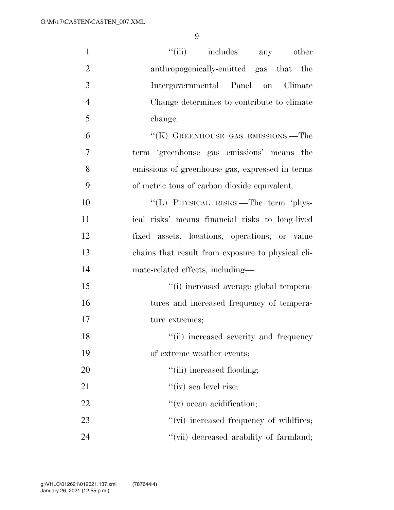| $\mathbf{1}$   | "(iii) includes any<br>other                      |
|----------------|---------------------------------------------------|
| $\overline{2}$ | anthropogenically-emitted gas that the            |
| 3              | Intergovernmental Panel on Climate                |
| $\overline{4}$ | Change determines to contribute to climate        |
| 5              | change.                                           |
| 6              | "(K) GREENHOUSE GAS EMISSIONS.—The                |
| 7              | term 'greenhouse gas emissions' means the         |
| 8              | emissions of greenhouse gas, expressed in terms   |
| 9              | of metric tons of carbon dioxide equivalent.      |
| 10             | "(L) PHYSICAL RISKS.—The term 'phys-              |
| 11             | ical risks' means financial risks to long-lived   |
| 12             | fixed assets, locations, operations, or value     |
| 13             | chains that result from exposure to physical cli- |
| 14             | mate-related effects, including—                  |
| 15             | "(i) increased average global tempera-            |
| 16             | tures and increased frequency of tempera-         |
| 17             | ture extremes;                                    |
| 18             | "(ii) increased severity and frequency"           |
| 19             | of extreme weather events;                        |
| 20             | "(iii) increased flooding;                        |
| 21             | $f'(iv)$ sea level rise;                          |
| 22             | $f'(v)$ ocean acidification;                      |
| 23             | "(vi) increased frequency of wildfires;           |
| 24             | "(vii) decreased arability of farmland;           |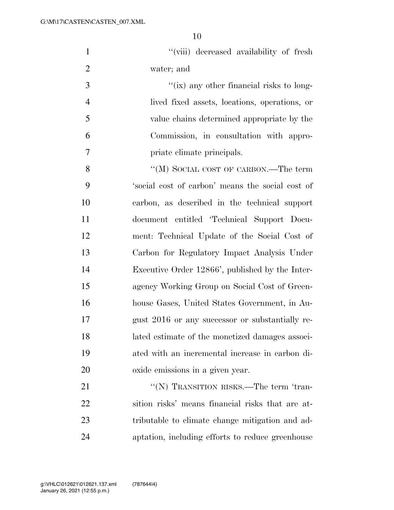| $\mathbf{1}$   | "(viii) decreased availability of fresh          |
|----------------|--------------------------------------------------|
| $\overline{2}$ | water; and                                       |
| 3              | "(ix) any other financial risks to long-         |
| $\overline{4}$ | lived fixed assets, locations, operations, or    |
| 5              | value chains determined appropriate by the       |
| 6              | Commission, in consultation with appro-          |
| 7              | priate climate principals.                       |
| 8              | "(M) SOCIAL COST OF CARBON.—The term             |
| 9              | 'social cost of carbon' means the social cost of |
| 10             | carbon, as described in the technical support    |
| 11             | document entitled 'Technical Support Docu-       |
| 12             | ment: Technical Update of the Social Cost of     |
| 13             | Carbon for Regulatory Impact Analysis Under      |
| 14             | Executive Order 12866', published by the Inter-  |
| 15             | agency Working Group on Social Cost of Green-    |
| 16             | house Gases, United States Government, in Au-    |
| 17             | gust 2016 or any successor or substantially re-  |
| 18             | lated estimate of the monetized damages associ-  |
| 19             | ated with an incremental increase in carbon di-  |
| 20             | oxide emissions in a given year.                 |
| 21             | "(N) TRANSITION RISKS.—The term 'tran-           |
| 22             | sition risks' means financial risks that are at- |
| 23             | tributable to climate change mitigation and ad-  |
| 24             | aptation, including efforts to reduce greenhouse |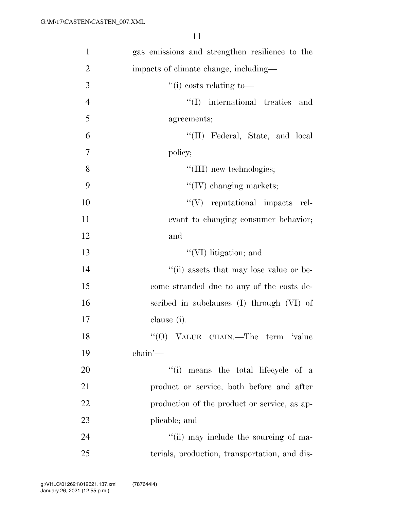| $\mathbf{1}$   | gas emissions and strengthen resilience to the |
|----------------|------------------------------------------------|
| $\overline{2}$ | impacts of climate change, including—          |
| 3              | $\lq\lq$ (i) costs relating to-                |
| $\overline{4}$ | $\lq\lq$ (I) international treaties and        |
| 5              | agreements;                                    |
| 6              | "(II) Federal, State, and local                |
| 7              | policy;                                        |
| 8              | "(III) new technologies;                       |
| 9              | $\lq\lq$ (IV) changing markets;                |
| 10             | $\lq\lq(V)$ reputational impacts rel-          |
| 11             | evant to changing consumer behavior;           |
| 12             | and                                            |
| 13             | $\lq\lq$ (VI) litigation; and                  |
| 14             | "(ii) assets that may lose value or be-        |
| 15             | come stranded due to any of the costs de-      |
| 16             | scribed in subclauses (I) through (VI) of      |
| 17             | clause (i).                                    |
| 18             | " $(O)$ VALUE CHAIN.—The term 'value           |
| 19             | $chain'$ —                                     |
| 20             | "(i) means the total lifecycle of a            |
| 21             | product or service, both before and after      |
| 22             | production of the product or service, as ap-   |
| 23             | plicable; and                                  |
| 24             | "(ii) may include the sourcing of ma-          |
| 25             | terials, production, transportation, and dis-  |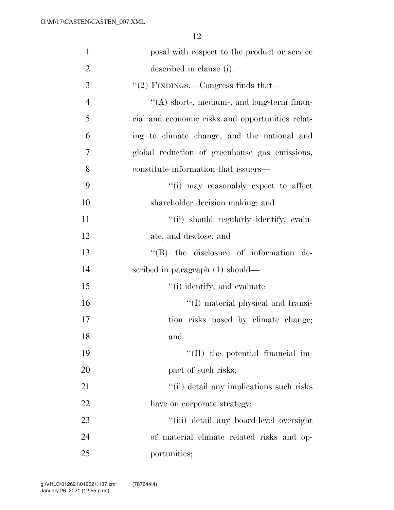| $\mathbf{1}$   | posal with respect to the product or service     |
|----------------|--------------------------------------------------|
| $\overline{2}$ | described in clause (i).                         |
| 3              | $``(2)$ FINDINGS.—Congress finds that—           |
| $\overline{4}$ | "(A) short-, medium-, and long-term finan-       |
| 5              | cial and economic risks and opportunities relat- |
| 6              | ing to climate change, and the national and      |
| 7              | global reduction of greenhouse gas emissions,    |
| 8              | constitute information that issuers—             |
| 9              | "(i) may reasonably expect to affect             |
| 10             | shareholder decision making; and                 |
| 11             | "(ii) should regularly identify, evalu-          |
| 12             | ate, and disclose; and                           |
| 13             | $\lq\lq$ the disclosure of information de-       |
| 14             | scribed in paragraph $(1)$ should—               |
| 15             | "(i) identify, and evaluate—                     |
| 16             | "(I) material physical and transi-               |
| 17             | tion risks posed by climate change;              |
| 18             | and                                              |
| 19             | $\lq$ (II) the potential financial im-           |
| 20             | pact of such risks;                              |
| 21             | "(ii) detail any implications such risks         |
| 22             | have on corporate strategy;                      |
| 23             | "(iii) detail any board-level oversight          |
| 24             | of material climate related risks and op-        |
| 25             | portunities;                                     |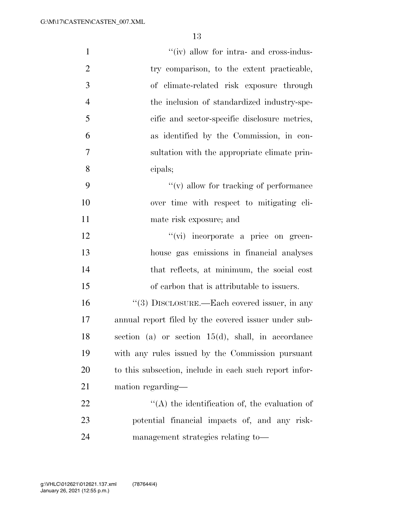| $\mathbf{1}$   | "(iv) allow for intra- and cross-indus-                |
|----------------|--------------------------------------------------------|
| $\overline{2}$ | try comparison, to the extent practicable,             |
| 3              | of climate-related risk exposure through               |
| $\overline{4}$ | the inclusion of standardized industry-spe-            |
| 5              | cific and sector-specific disclosure metrics,          |
| 6              | as identified by the Commission, in con-               |
| $\overline{7}$ | sultation with the appropriate climate prin-           |
| 8              | cipals;                                                |
| 9              | $\lq\lq$ (v) allow for tracking of performance         |
| 10             | over time with respect to mitigating cli-              |
| 11             | mate risk exposure; and                                |
| 12             | $\lq\lq$ (vi) incorporate a price on green-            |
| 13             | house gas emissions in financial analyses              |
| 14             | that reflects, at minimum, the social cost             |
| 15             | of carbon that is attributable to issuers.             |
| 16             | "(3) DISCLOSURE.—Each covered issuer, in any           |
| 17             | annual report filed by the covered issuer under sub-   |
| 18             | section (a) or section $15(d)$ , shall, in accordance  |
| 19             | with any rules issued by the Commission pursuant       |
| 20             | to this subsection, include in each such report infor- |
| 21             | mation regarding—                                      |
| 22             | $\lq\lq$ the identification of, the evaluation of      |
| 23             | potential financial impacts of, and any risk-          |
| 24             | management strategies relating to-                     |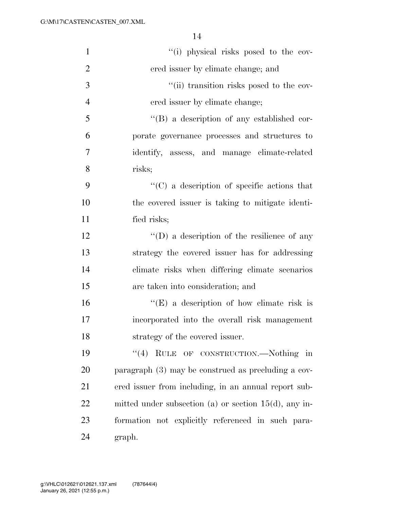| $\mathbf{1}$   | "(i) physical risks posed to the cov-                    |
|----------------|----------------------------------------------------------|
| $\overline{2}$ | ered issuer by climate change; and                       |
| 3              | "(ii) transition risks posed to the cov-                 |
| $\overline{4}$ | ered issuer by climate change;                           |
| 5              | $\lq\lq (B)$ a description of any established cor-       |
| 6              | porate governance processes and structures to            |
| 7              | identify, assess, and manage climate-related             |
| 8              | risks;                                                   |
| 9              | $\lq\lq$ (C) a description of specific actions that      |
| 10             | the covered issuer is taking to mitigate identi-         |
| 11             | fied risks;                                              |
| 12             | $\lq\lq$ a description of the resilience of any          |
| 13             | strategy the covered issuer has for addressing           |
| 14             | climate risks when differing climate scenarios           |
| 15             | are taken into consideration; and                        |
| 16             | $\lq\lq(E)$ a description of how climate risk is         |
| 17             | incorporated into the overall risk management            |
| 18             | strategy of the covered issuer.                          |
| 19             | RULE OF CONSTRUCTION.-Nothing in<br>(4)                  |
| 20             | paragraph $(3)$ may be construed as precluding a cov-    |
| 21             | ered issuer from including, in an annual report sub-     |
| 22             | mitted under subsection (a) or section $15(d)$ , any in- |
| 23             | formation not explicitly referenced in such para-        |
| 24             | graph.                                                   |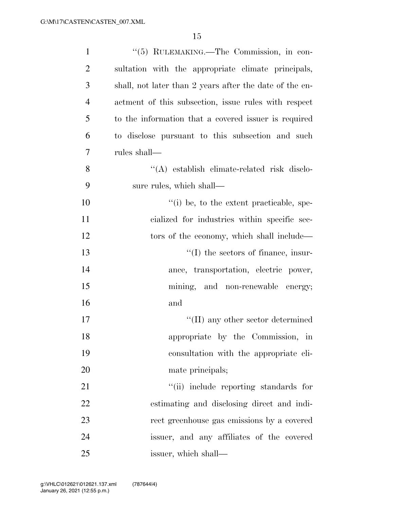| $\mathbf{1}$   | "(5) RULEMAKING.—The Commission, in con-                |
|----------------|---------------------------------------------------------|
| $\overline{2}$ | sultation with the appropriate climate principals,      |
| 3              | shall, not later than 2 years after the date of the en- |
| $\overline{4}$ | actment of this subsection, issue rules with respect    |
| 5              | to the information that a covered issuer is required    |
| 6              | to disclose pursuant to this subsection and such        |
| 7              | rules shall—                                            |
| 8              | "(A) establish climate-related risk disclo-             |
| 9              | sure rules, which shall—                                |
| 10             | "(i) be, to the extent practicable, spe-                |
| 11             | cialized for industries within specific sec-            |
| 12             | tors of the economy, which shall include—               |
| 13             | $\lq\lq$ (I) the sectors of finance, insur-             |
| 14             | ance, transportation, electric power,                   |
| 15             | mining, and non-renewable energy;                       |
| 16             | and                                                     |
| 17             | $\lq\lq$ (II) any other sector determined               |
| 18             | appropriate by the Commission, in                       |
| 19             | consultation with the appropriate cli-                  |
| 20             | mate principals;                                        |
| 21             | "(ii) include reporting standards for                   |
| 22             | estimating and disclosing direct and indi-              |
| 23             | rect greenhouse gas emissions by a covered              |
| 24             | issuer, and any affiliates of the covered               |
| 25             | issuer, which shall—                                    |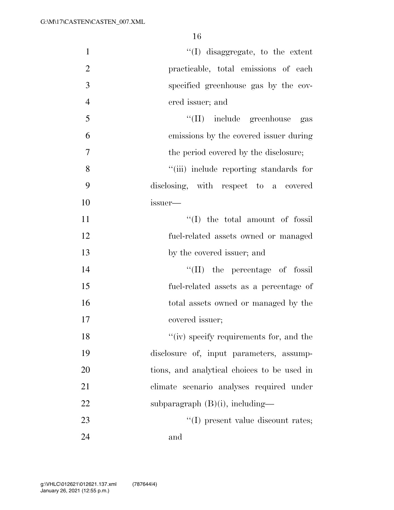| $\mathbf{1}$   | $\lq\lq$ disaggregate, to the extent        |
|----------------|---------------------------------------------|
| $\overline{2}$ | practicable, total emissions of each        |
| 3              | specified greenhouse gas by the cov-        |
| $\overline{4}$ | ered issuer; and                            |
| 5              | "(II) include greenhouse gas                |
| 6              | emissions by the covered issuer during      |
| $\tau$         | the period covered by the disclosure;       |
| 8              | "(iii) include reporting standards for      |
| 9              | disclosing, with respect to a covered       |
| 10             | issuer-                                     |
| 11             | "(I) the total amount of fossil             |
| 12             | fuel-related assets owned or managed        |
| 13             | by the covered issuer; and                  |
| 14             | "(II) the percentage of fossil              |
| 15             | fuel-related assets as a percentage of      |
| 16             | total assets owned or managed by the        |
| 17             | covered issuer;                             |
| 18             | "(iv) specify requirements for, and the     |
| 19             | disclosure of, input parameters, assump-    |
| 20             | tions, and analytical choices to be used in |
| 21             | climate scenario analyses required under    |
| 22             | subparagraph $(B)(i)$ , including—          |
| 23             | "(I) present value discount rates;          |
| 24             | and                                         |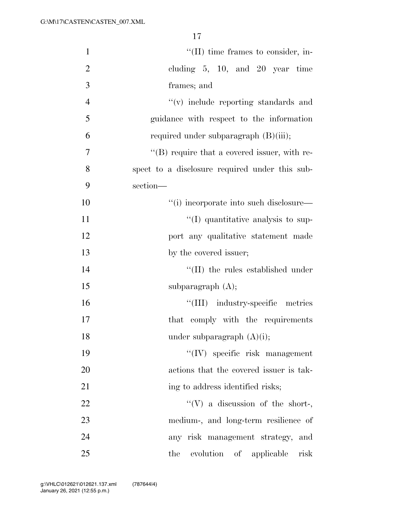| $\mathbf{1}$   | $\lq\lq$ (II) time frames to consider, in-           |
|----------------|------------------------------------------------------|
| $\overline{2}$ | cluding $5, 10, and 20$ year time                    |
| 3              | frames; and                                          |
| $\overline{4}$ | "(v) include reporting standards and                 |
| 5              | guidance with respect to the information             |
| 6              | required under subparagraph $(B)(iii)$ ;             |
| 7              | $\lq\lq (B)$ require that a covered issuer, with re- |
| 8              | spect to a disclosure required under this sub-       |
| 9              | section-                                             |
| 10             | "(i) incorporate into such disclosure—               |
| 11             | $\lq(1)$ quantitative analysis to sup-               |
| 12             | port any qualitative statement made                  |
| 13             | by the covered issuer;                               |
| 14             | $\lq\lq$ (II) the rules established under            |
| 15             | subparagraph $(A)$ ;                                 |
| 16             | "(III) industry-specific metrics                     |
| 17             | that comply with the requirements                    |
| 18             | under subparagraph $(A)(i)$ ;                        |
| 19             | $\lq\lq$ (IV) specific risk management               |
| 20             | actions that the covered issuer is tak-              |
| 21             | ing to address identified risks;                     |
| 22             | $\lq\lq(V)$ a discussion of the short-,              |
| 23             | medium-, and long-term resilience of                 |
| 24             | any risk management strategy, and                    |
| 25             | the evolution of applicable<br>risk                  |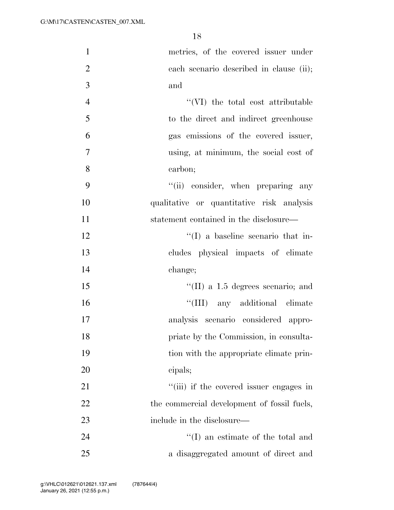| $\mathbf{1}$   | metrics, of the covered issuer under        |
|----------------|---------------------------------------------|
| $\overline{2}$ | each scenario described in clause (ii);     |
| 3              | and                                         |
| $\overline{4}$ | $``(VI)$ the total cost attributable        |
| 5              | to the direct and indirect greenhouse       |
| 6              | gas emissions of the covered issuer,        |
| 7              | using, at minimum, the social cost of       |
| 8              | carbon;                                     |
| 9              | "(ii) consider, when preparing any          |
| 10             | qualitative or quantitative risk analysis   |
| 11             | statement contained in the disclosure—      |
| 12             | $\lq\lq$ (I) a baseline scenario that in-   |
| 13             | cludes physical impacts of climate          |
| 14             | change;                                     |
| 15             | $\lq$ (II) a 1.5 degrees scenario; and      |
| 16             | "(III) any additional climate               |
| 17             | analysis scenario considered appro-         |
| 18             | priate by the Commission, in consulta-      |
| 19             | tion with the appropriate climate prin-     |
| 20             | cipals;                                     |
| 21             | "(iii) if the covered issuer engages in     |
| 22             | the commercial development of fossil fuels, |
| 23             | include in the disclosure—                  |
| 24             | $\lq\lq$ (I) an estimate of the total and   |
| 25             | a disaggregated amount of direct and        |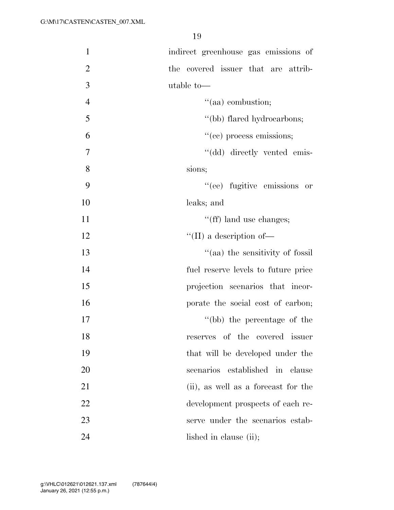| $\mathbf{1}$   | indirect greenhouse gas emissions of |
|----------------|--------------------------------------|
| $\overline{2}$ | the covered issuer that are attrib-  |
| 3              | utable to-                           |
| $\overline{4}$ | $\lq(aa)$ combustion;                |
| 5              | "(bb) flared hydrocarbons;           |
| 6              | "(cc) process emissions;             |
| 7              | "(dd) directly vented emis-          |
| 8              | sions;                               |
| 9              | "(ee) fugitive emissions or          |
| 10             | leaks; and                           |
| 11             | "(ff) land use changes;              |
| 12             | $\lq\lq$ (II) a description of —     |
| 13             | "(aa) the sensitivity of fossil      |
| 14             | fuel reserve levels to future price  |
| 15             | projection scenarios that incor-     |
| 16             | porate the social cost of carbon;    |
| 17             | "(bb) the percentage of the          |
| 18             | reserves of the covered issuer       |
| 19             | that will be developed under the     |
| 20             | scenarios established in clause      |
| 21             | (ii), as well as a forecast for the  |
| 22             | development prospects of each re-    |
| 23             | serve under the scenarios estab-     |
| 24             | lished in clause (ii);               |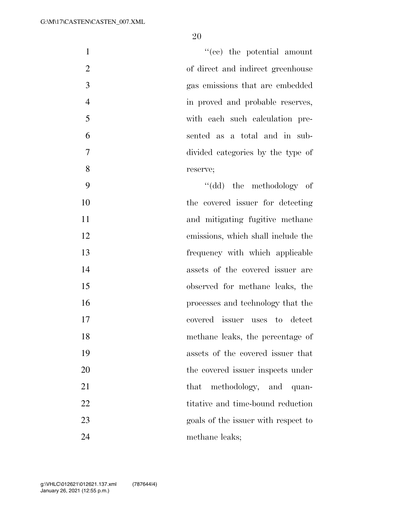| $\mathbf{1}$   | $f'(ce)$ the potential amount       |
|----------------|-------------------------------------|
| $\overline{2}$ | of direct and indirect greenhouse   |
| $\overline{3}$ | gas emissions that are embedded     |
| $\overline{4}$ | in proved and probable reserves,    |
| 5              | with each such calculation pre-     |
| 6              | sented as a total and in sub-       |
| $\tau$         | divided categories by the type of   |
| 8              | reserve;                            |
| 9              | $"(\mathrm{dd})$ the methodology of |

 the covered issuer for detecting 11 and mitigating fugitive methane emissions, which shall include the 13 frequency with which applicable assets of the covered issuer are observed for methane leaks, the processes and technology that the covered issuer uses to detect methane leaks, the percentage of assets of the covered issuer that 20 the covered issuer inspects under 21 that methodology, and quan-22 titative and time-bound reduction goals of the issuer with respect to methane leaks;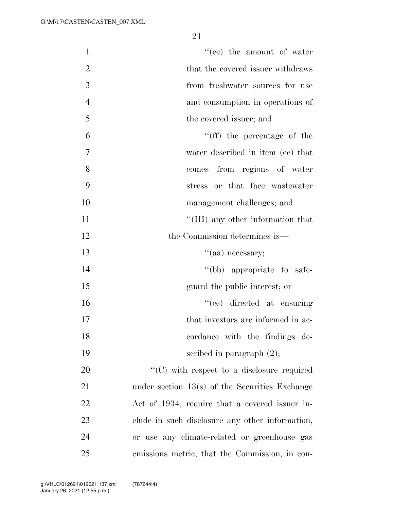| $\mathbf{1}$   | "(ee) the amount of water                          |
|----------------|----------------------------------------------------|
| $\overline{2}$ | that the covered issuer withdraws                  |
| 3              | from freshwater sources for use                    |
| $\overline{4}$ | and consumption in operations of                   |
| 5              | the covered issuer; and                            |
| 6              | "(ff) the percentage of the                        |
| 7              | water described in item (ee) that                  |
| 8              | comes from regions of water                        |
| 9              | stress or that face wastewater                     |
| 10             | management challenges; and                         |
| 11             | "(III) any other information that                  |
| 12             | the Commission determines is—                      |
| 13             | "(aa) necessary;                                   |
| 14             | "(bb) appropriate to safe-                         |
| 15             | guard the public interest; or                      |
| 16             | "(cc) directed at ensuring                         |
| 17             | that investors are informed in ac-                 |
| 18             | cordance with the findings de-                     |
| 19             | scribed in paragraph $(2)$ ;                       |
| 20             | $\lq\lq$ (C) with respect to a disclosure required |
| 21             | under section $13(s)$ of the Securities Exchange   |
| 22             | Act of 1934, require that a covered issuer in-     |
| 23             | clude in such disclosure any other information,    |
| 24             | or use any climate-related or greenhouse gas       |
| 25             | emissions metric, that the Commission, in con-     |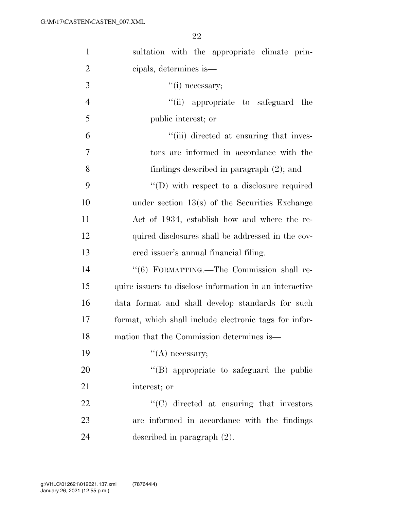| $\mathbf{1}$   | sultation with the appropriate climate prin-            |
|----------------|---------------------------------------------------------|
| $\overline{2}$ | cipals, determines is—                                  |
| 3              | $``(i)$ necessary;                                      |
| $\overline{4}$ | "(ii) appropriate to safeguard the                      |
| 5              | public interest; or                                     |
| 6              | "(iii) directed at ensuring that inves-                 |
| $\tau$         | tors are informed in accordance with the                |
| 8              | findings described in paragraph $(2)$ ; and             |
| 9              | $\lq\lq$ (D) with respect to a disclosure required      |
| 10             | under section $13(s)$ of the Securities Exchange        |
| 11             | Act of 1934, establish how and where the re-            |
| 12             | quired disclosures shall be addressed in the cov-       |
|                |                                                         |
| 13             | ered issuer's annual financial filing.                  |
| 14             | "(6) FORMATTING.—The Commission shall re-               |
| 15             | quire issuers to disclose information in an interactive |
| 16             | data format and shall develop standards for such        |
| 17             | format, which shall include electronic tags for infor-  |
| 18             | mation that the Commission determines is—               |
| 19             | $\lq\lq$ necessary;                                     |
| 20             | "(B) appropriate to safeguard the public                |
| 21             | interest; or                                            |
| 22             | $\cdot$ (C) directed at ensuring that investors         |
| 23             | are informed in accordance with the findings            |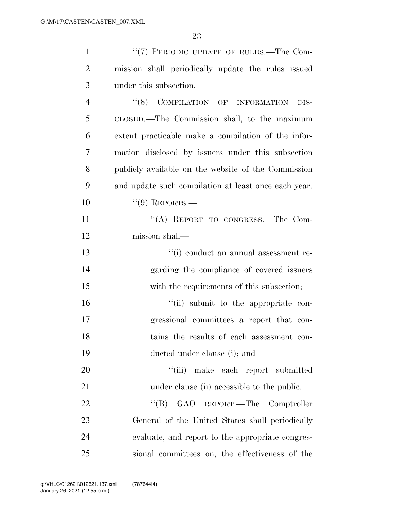| $\mathbf{1}$   | "(7) PERIODIC UPDATE OF RULES.—The Com-              |
|----------------|------------------------------------------------------|
| $\overline{2}$ | mission shall periodically update the rules issued   |
| 3              | under this subsection.                               |
| $\overline{4}$ | COMPILATION OF INFORMATION<br>(8)<br>DIS-            |
| 5              | CLOSED.—The Commission shall, to the maximum         |
| 6              | extent practicable make a compilation of the infor-  |
| 7              | mation disclosed by issuers under this subsection    |
| 8              | publicly available on the website of the Commission  |
| 9              | and update such compilation at least once each year. |
| 10             | $``(9)$ REPORTS.—                                    |
| 11             | "(A) REPORT TO CONGRESS.—The Com-                    |
| 12             | mission shall—                                       |
| 13             | "(i) conduct an annual assessment re-                |
| 14             | garding the compliance of covered issuers            |
| 15             | with the requirements of this subsection;            |
| 16             | "(ii) submit to the appropriate con-                 |
| 17             | gressional committees a report that con-             |
| 18             | tains the results of each assessment con-            |
| 19             | ducted under clause (i); and                         |
| 20             | "(iii) make each report submitted                    |
| 21             | under clause (ii) accessible to the public.          |
| 22             | "(B) GAO REPORT.—The Comptroller                     |
| 23             | General of the United States shall periodically      |
| 24             | evaluate, and report to the appropriate congres-     |
| 25             | sional committees on, the effectiveness of the       |